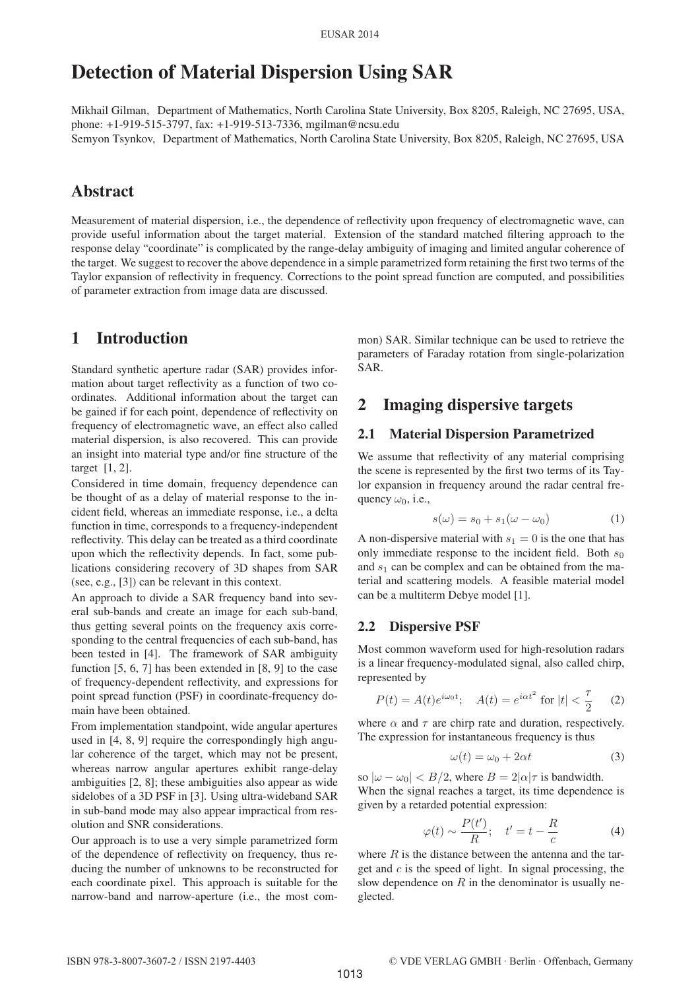# Detection of Material Dispersion Using SAR

Mikhail Gilman, Department of Mathematics, North Carolina State University, Box 8205, Raleigh, NC 27695, USA, phone: +1-919-515-3797, fax: +1-919-513-7336, mgilman@ncsu.edu Semyon Tsynkov, Department of Mathematics, North Carolina State University, Box 8205, Raleigh, NC 27695, USA

# Abstract

Measurement of material dispersion, i.e., the dependence of reflectivity upon frequency of electromagnetic wave, can provide useful information about the target material. Extension of the standard matched filtering approach to the response delay "coordinate" is complicated by the range-delay ambiguity of imaging and limited angular coherence of the target. We suggest to recover the above dependence in a simple parametrized form retaining the first two terms of the Taylor expansion of reflectivity in frequency. Corrections to the point spread function are computed, and possibilities of parameter extraction from image data are discussed.

# 1 Introduction

Standard synthetic aperture radar (SAR) provides information about target reflectivity as a function of two coordinates. Additional information about the target can be gained if for each point, dependence of reflectivity on frequency of electromagnetic wave, an effect also called material dispersion, is also recovered. This can provide an insight into material type and/or fine structure of the target [1, 2].

Considered in time domain, frequency dependence can be thought of as a delay of material response to the incident field, whereas an immediate response, i.e., a delta function in time, corresponds to a frequency-independent reflectivity. This delay can be treated as a third coordinate upon which the reflectivity depends. In fact, some publications considering recovery of 3D shapes from SAR (see, e.g., [3]) can be relevant in this context.

An approach to divide a SAR frequency band into several sub-bands and create an image for each sub-band, thus getting several points on the frequency axis corresponding to the central frequencies of each sub-band, has been tested in [4]. The framework of SAR ambiguity function [5, 6, 7] has been extended in [8, 9] to the case of frequency-dependent reflectivity, and expressions for point spread function (PSF) in coordinate-frequency domain have been obtained.

From implementation standpoint, wide angular apertures used in [4, 8, 9] require the correspondingly high angular coherence of the target, which may not be present, whereas narrow angular apertures exhibit range-delay ambiguities [2, 8]; these ambiguities also appear as wide sidelobes of a 3D PSF in [3]. Using ultra-wideband SAR in sub-band mode may also appear impractical from resolution and SNR considerations.

Our approach is to use a very simple parametrized form of the dependence of reflectivity on frequency, thus reducing the number of unknowns to be reconstructed for each coordinate pixel. This approach is suitable for the narrow-band and narrow-aperture (i.e., the most common) SAR. Similar technique can be used to retrieve the parameters of Faraday rotation from single-polarization SAR.

# 2 Imaging dispersive targets

#### 2.1 Material Dispersion Parametrized

We assume that reflectivity of any material comprising the scene is represented by the first two terms of its Taylor expansion in frequency around the radar central frequency  $\omega_0$ , i.e.,

$$
s(\omega) = s_0 + s_1(\omega - \omega_0) \tag{1}
$$

A non-dispersive material with  $s_1 = 0$  is the one that has only immediate response to the incident field. Both  $s_0$ and  $s_1$  can be complex and can be obtained from the material and scattering models. A feasible material model can be a multiterm Debye model [1].

#### 2.2 Dispersive PSF

Most common waveform used for high-resolution radars is a linear frequency-modulated signal, also called chirp, represented by

$$
P(t) = A(t)e^{i\omega_0 t}; \quad A(t) = e^{i\alpha t^2} \text{ for } |t| < \frac{\tau}{2} \tag{2}
$$

where  $\alpha$  and  $\tau$  are chirp rate and duration, respectively. The expression for instantaneous frequency is thus

$$
\omega(t) = \omega_0 + 2\alpha t \tag{3}
$$

so  $|\omega - \omega_0|$  < B/2, where  $B = 2|\alpha|\tau$  is bandwidth. When the signal reaches a target, its time dependence is given by a retarded potential expression:

$$
\varphi(t) \sim \frac{P(t')}{R}; \quad t' = t - \frac{R}{c} \tag{4}
$$

where  $R$  is the distance between the antenna and the target and  $c$  is the speed of light. In signal processing, the slow dependence on  $R$  in the denominator is usually neglected.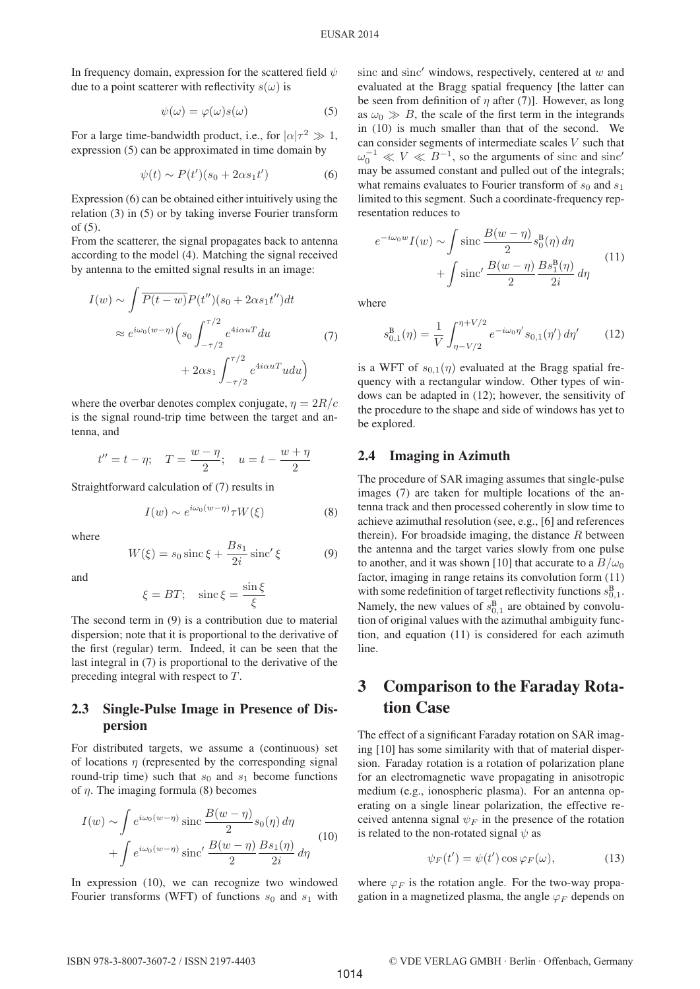In frequency domain, expression for the scattered field  $\psi$ due to a point scatterer with reflectivity  $s(\omega)$  is

$$
\psi(\omega) = \varphi(\omega)s(\omega) \tag{5}
$$

For a large time-bandwidth product, i.e., for  $|\alpha|\tau^2 \gg 1$ , expression (5) can be approximated in time domain by

$$
\psi(t) \sim P(t')(s_0 + 2\alpha s_1 t') \tag{6}
$$

Expression (6) can be obtained either intuitively using the relation (3) in (5) or by taking inverse Fourier transform of (5).

From the scatterer, the signal propagates back to antenna according to the model (4). Matching the signal received by antenna to the emitted signal results in an image:

$$
I(w) \sim \int \overline{P(t-w)} P(t'')(s_0 + 2\alpha s_1 t'') dt
$$
  
\n
$$
\approx e^{i\omega_0 (w-\eta)} \left( s_0 \int_{-\tau/2}^{\tau/2} e^{4i\alpha u T} du \right)
$$
  
\n
$$
+ 2\alpha s_1 \int_{-\tau/2}^{\tau/2} e^{4i\alpha u T} u du \right)
$$
\n(7)

where the overbar denotes complex conjugate,  $\eta = 2R/c$ is the signal round-trip time between the target and antenna, and

$$
t'' = t - \eta
$$
;  $T = \frac{w - \eta}{2}$ ;  $u = t - \frac{w + \eta}{2}$ 

Straightforward calculation of (7) results in

$$
I(w) \sim e^{i\omega_0(w-\eta)} \tau W(\xi)
$$
 (8)

where

$$
W(\xi) = s_0 \operatorname{sinc} \xi + \frac{Bs_1}{2i} \operatorname{sinc}' \xi \tag{9}
$$

and

$$
\xi = BT; \quad \text{sinc}\,\xi = \frac{\sin\xi}{\xi}
$$

The second term in (9) is a contribution due to material dispersion; note that it is proportional to the derivative of the first (regular) term. Indeed, it can be seen that the last integral in (7) is proportional to the derivative of the preceding integral with respect to T.

## 2.3 Single-Pulse Image in Presence of Dispersion

For distributed targets, we assume a (continuous) set of locations  $\eta$  (represented by the corresponding signal round-trip time) such that  $s_0$  and  $s_1$  become functions of  $\eta$ . The imaging formula (8) becomes

$$
I(w) \sim \int e^{i\omega_0(w-\eta)} \operatorname{sinc} \frac{B(w-\eta)}{2} s_0(\eta) d\eta
$$

$$
+ \int e^{i\omega_0(w-\eta)} \operatorname{sinc}' \frac{B(w-\eta)}{2} \frac{Bs_1(\eta)}{2i} d\eta
$$
(10)

In expression (10), we can recognize two windowed Fourier transforms (WFT) of functions  $s_0$  and  $s_1$  with

sinc and sinc' windows, respectively, centered at  $w$  and evaluated at the Bragg spatial frequency [the latter can be seen from definition of  $\eta$  after (7)]. However, as long as  $\omega_0 \gg B$ , the scale of the first term in the integrands in (10) is much smaller than that of the second. We can consider segments of intermediate scales V such that  $\omega_0^{-1} \ll V \ll B^{-1}$ , so the arguments of sinc and sinc' may be assumed constant and pulled out of the integrals; what remains evaluates to Fourier transform of  $s_0$  and  $s_1$ limited to this segment. Such a coordinate-frequency representation reduces to

$$
e^{-i\omega_0 w} I(w) \sim \int \operatorname{sinc} \frac{B(w - \eta)}{2} s_0^{\mathcal{B}}(\eta) d\eta
$$

$$
+ \int \operatorname{sinc}' \frac{B(w - \eta)}{2} \frac{Bs_1^{\mathcal{B}}(\eta)}{2i} d\eta
$$
(11)

where

$$
s_{0,1}^{B}(\eta) = \frac{1}{V} \int_{\eta - V/2}^{\eta + V/2} e^{-i\omega_0 \eta'} s_{0,1}(\eta') d\eta' \qquad (12)
$$

is a WFT of  $s_{0,1}(\eta)$  evaluated at the Bragg spatial frequency with a rectangular window. Other types of windows can be adapted in (12); however, the sensitivity of the procedure to the shape and side of windows has yet to be explored.

## 2.4 Imaging in Azimuth

The procedure of SAR imaging assumes that single-pulse images (7) are taken for multiple locations of the antenna track and then processed coherently in slow time to achieve azimuthal resolution (see, e.g., [6] and references therein). For broadside imaging, the distance  $R$  between the antenna and the target varies slowly from one pulse to another, and it was shown [10] that accurate to a  $B/\omega_0$ factor, imaging in range retains its convolution form (11) with some redefinition of target reflectivity functions  $s_{0,1}^{\text{B}}$ . Namely, the new values of  $s_{0,1}^B$  are obtained by convolution of original values with the azimuthal ambiguity function, and equation (11) is considered for each azimuth line.

# 3 Comparison to the Faraday Rotation Case

The effect of a significant Faraday rotation on SAR imaging [10] has some similarity with that of material dispersion. Faraday rotation is a rotation of polarization plane for an electromagnetic wave propagating in anisotropic medium (e.g., ionospheric plasma). For an antenna operating on a single linear polarization, the effective received antenna signal  $\psi_F$  in the presence of the rotation is related to the non-rotated signal  $\psi$  as

$$
\psi_F(t') = \psi(t') \cos \varphi_F(\omega), \tag{13}
$$

where  $\varphi_F$  is the rotation angle. For the two-way propagation in a magnetized plasma, the angle  $\varphi_F$  depends on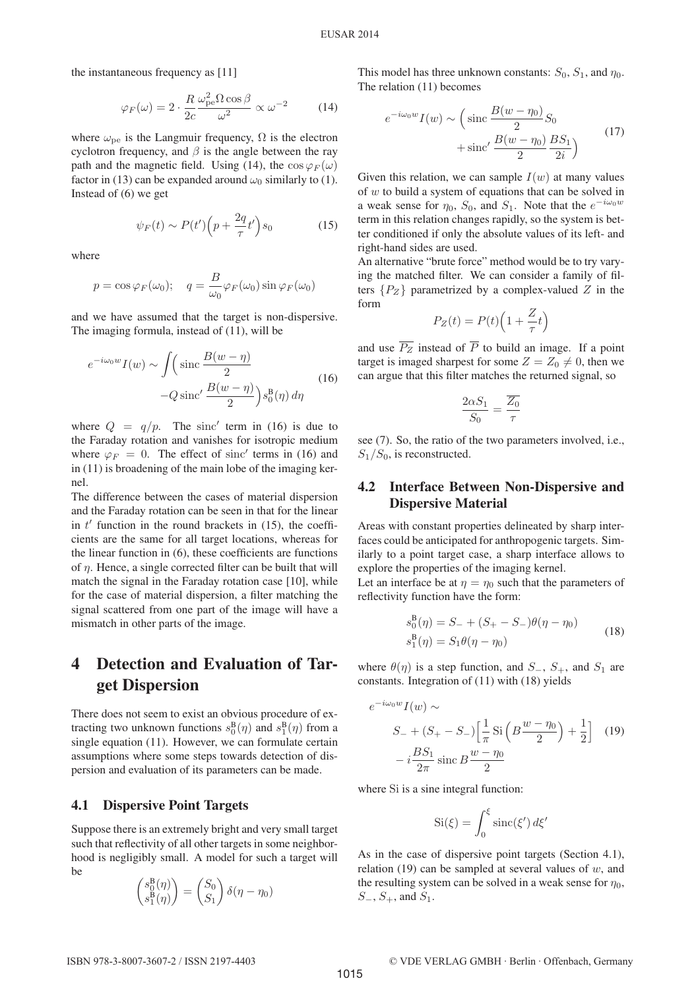the instantaneous frequency as [11]

$$
\varphi_F(\omega) = 2 \cdot \frac{R}{2c} \frac{\omega_{\rm pe}^2 \Omega \cos \beta}{\omega^2} \propto \omega^{-2}
$$
 (14)

where  $\omega_{\text{pe}}$  is the Langmuir frequency,  $\Omega$  is the electron cyclotron frequency, and  $\beta$  is the angle between the ray path and the magnetic field. Using (14), the  $\cos \varphi_F(\omega)$ factor in (13) can be expanded around  $\omega_0$  similarly to (1). Instead of (6) we get

$$
\psi_F(t) \sim P(t') \left( p + \frac{2q}{\tau} t' \right) s_0 \tag{15}
$$

where

$$
p = \cos \varphi_F(\omega_0);
$$
  $q = \frac{B}{\omega_0} \varphi_F(\omega_0) \sin \varphi_F(\omega_0)$ 

and we have assumed that the target is non-dispersive. The imaging formula, instead of (11), will be

$$
e^{-i\omega_0 w} I(w) \sim \int \left(\operatorname{sinc} \frac{B(w - \eta)}{2} -Q \operatorname{sinc}' \frac{B(w - \eta)}{2}\right) s_0^{\mathbf{B}}(\eta) d\eta \tag{16}
$$

where  $Q = q/p$ . The sinc' term in (16) is due to the Faraday rotation and vanishes for isotropic medium where  $\varphi_F = 0$ . The effect of sinc' terms in (16) and in (11) is broadening of the main lobe of the imaging kernel.

The difference between the cases of material dispersion and the Faraday rotation can be seen in that for the linear in  $t'$  function in the round brackets in (15), the coefficients are the same for all target locations, whereas for the linear function in (6), these coefficients are functions of  $\eta$ . Hence, a single corrected filter can be built that will match the signal in the Faraday rotation case [10], while for the case of material dispersion, a filter matching the signal scattered from one part of the image will have a mismatch in other parts of the image.

# 4 Detection and Evaluation of Target Dispersion

There does not seem to exist an obvious procedure of extracting two unknown functions  $s_0^B(\eta)$  and  $s_1^B(\eta)$  from a single equation (11). However, we can formulate certain assumptions where some steps towards detection of dispersion and evaluation of its parameters can be made.

#### 4.1 Dispersive Point Targets

Suppose there is an extremely bright and very small target such that reflectivity of all other targets in some neighborhood is negligibly small. A model for such a target will be

$$
\begin{pmatrix} s_0^{\mathcal{B}}(\eta) \\ s_1^{\mathcal{B}}(\eta) \end{pmatrix} = \begin{pmatrix} S_0 \\ S_1 \end{pmatrix} \delta(\eta - \eta_0)
$$

This model has three unknown constants:  $S_0$ ,  $S_1$ , and  $\eta_0$ . The relation (11) becomes

$$
e^{-i\omega_0 w} I(w) \sim \left(\text{sinc}\frac{B(w-\eta_0)}{2}S_0 + \text{sinc}'\frac{B(w-\eta_0)}{2}\frac{BS_1}{2i}\right)
$$
\n
$$
(17)
$$

Given this relation, we can sample  $I(w)$  at many values of w to build a system of equations that can be solved in a weak sense for  $\eta_0$ ,  $S_0$ , and  $S_1$ . Note that the  $e^{-i\omega_0 w}$ term in this relation changes rapidly, so the system is better conditioned if only the absolute values of its left- and right-hand sides are used.

An alternative "brute force" method would be to try varying the matched filter. We can consider a family of filters  $\{P_Z\}$  parametrized by a complex-valued Z in the form

$$
P_Z(t) = P(t) \left( 1 + \frac{Z}{\tau} t \right)
$$

and use  $\overline{P_Z}$  instead of  $\overline{P}$  to build an image. If a point target is imaged sharpest for some  $Z = Z_0 \neq 0$ , then we can argue that this filter matches the returned signal, so

$$
\frac{2\alpha S_1}{S_0} = \frac{\overline{Z_0}}{\tau}
$$

see (7). So, the ratio of the two parameters involved, i.e.,  $S_1/S_0$ , is reconstructed.

## 4.2 Interface Between Non-Dispersive and Dispersive Material

Areas with constant properties delineated by sharp interfaces could be anticipated for anthropogenic targets. Similarly to a point target case, a sharp interface allows to explore the properties of the imaging kernel.

Let an interface be at  $\eta = \eta_0$  such that the parameters of reflectivity function have the form:

$$
s_0^{\mathcal{B}}(\eta) = S_- + (S_+ - S_-)\theta(\eta - \eta_0)
$$
  
\n
$$
s_1^{\mathcal{B}}(\eta) = S_1\theta(\eta - \eta_0)
$$
\n(18)

where  $\theta(\eta)$  is a step function, and  $S_-, S_+$ , and  $S_1$  are constants. Integration of (11) with (18) yields

$$
e^{-i\omega_0 w} I(w) \sim
$$
  
\n
$$
S_- + (S_+ - S_-) \left[ \frac{1}{\pi} \operatorname{Si} \left( B \frac{w - \eta_0}{2} \right) + \frac{1}{2} \right]
$$
 (19)  
\n
$$
-i \frac{BS_1}{2\pi} \operatorname{sinc} B \frac{w - \eta_0}{2}
$$

where Si is a sine integral function:

$$
\operatorname{Si}(\xi) = \int_0^\xi \operatorname{sinc}(\xi') d\xi'
$$

As in the case of dispersive point targets (Section 4.1), relation (19) can be sampled at several values of  $w$ , and the resulting system can be solved in a weak sense for  $\eta_0$ ,  $S_-, S_+,$  and  $S_1$ .